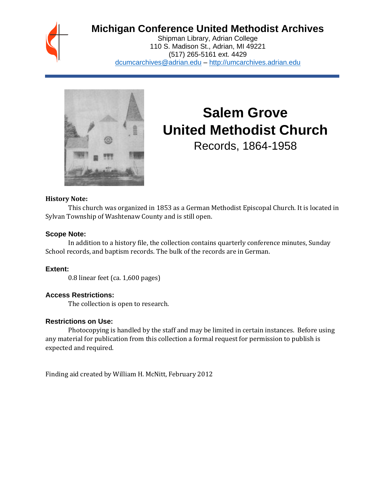

# **Michigan Conference United Methodist Archives**

Shipman Library, Adrian College 110 S. Madison St., Adrian, MI 49221 (517) 265-5161 ext. 4429 [dcumcarchives@adrian.edu](mailto:dcumcarchives@adrian.edu) – [http://umcarchives.adrian.edu](http://umcarchives.adrian.edu/)



# **Salem Grove United Methodist Church**

Records, 1864-1958

#### **History Note:**

This church was organized in 1853 as a German Methodist Episcopal Church. It is located in Sylvan Township of Washtenaw County and is still open.

#### **Scope Note:**

In addition to a history file, the collection contains quarterly conference minutes, Sunday School records, and baptism records. The bulk of the records are in German.

## **Extent:**

0.8 linear feet (ca. 1,600 pages)

## **Access Restrictions:**

The collection is open to research.

#### **Restrictions on Use:**

Photocopying is handled by the staff and may be limited in certain instances. Before using any material for publication from this collection a formal request for permission to publish is expected and required.

Finding aid created by William H. McNitt, February 2012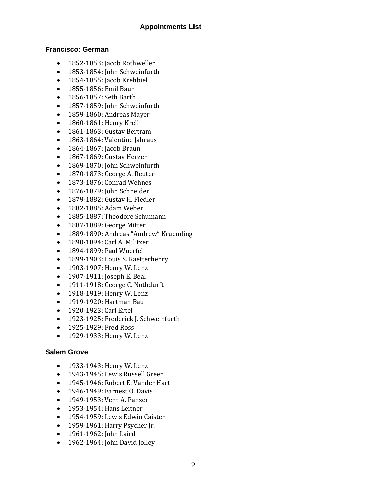# **Francisco: German**

- 1852-1853: Jacob Rothweller
- 1853-1854: John Schweinfurth
- 1854-1855: Jacob Krehbiel
- 1855-1856: Emil Baur
- 1856-1857: Seth Barth
- 1857-1859: John Schweinfurth
- 1859-1860: Andreas Mayer
- 1860-1861: Henry Krell
- 1861-1863: Gustav Bertram
- 1863-1864: Valentine Jahraus
- 1864-1867: Jacob Braun
- 1867-1869: Gustav Herzer
- 1869-1870: John Schweinfurth
- 1870-1873: George A. Reuter
- 1873-1876: Conrad Wehnes
- 1876-1879: John Schneider
- 1879-1882: Gustav H. Fiedler
- 1882-1885: Adam Weber
- 1885-1887: Theodore Schumann
- 1887-1889: George Mitter
- 1889-1890: Andreas "Andrew" Kruemling
- 1890-1894: Carl A. Militzer
- 1894-1899: Paul Wuerfel
- 1899-1903: Louis S. Kaetterhenry
- 1903-1907: Henry W. Lenz
- 1907-1911: Joseph E. Beal
- 1911-1918: George C. Nothdurft
- 1918-1919: Henry W. Lenz
- 1919-1920: Hartman Bau
- 1920-1923: Carl Ertel
- 1923-1925: Frederick J. Schweinfurth
- 1925-1929: Fred Ross
- 1929-1933: Henry W. Lenz

# **Salem Grove**

- 1933-1943: Henry W. Lenz
- 1943-1945: Lewis Russell Green
- 1945-1946: Robert E. Vander Hart
- 1946-1949: Earnest O. Davis
- 1949-1953: Vern A. Panzer
- 1953-1954: Hans Leitner
- 1954-1959: Lewis Edwin Caister
- 1959-1961: Harry Psycher Jr.
- 1961-1962: John Laird
- 1962-1964: John David Jolley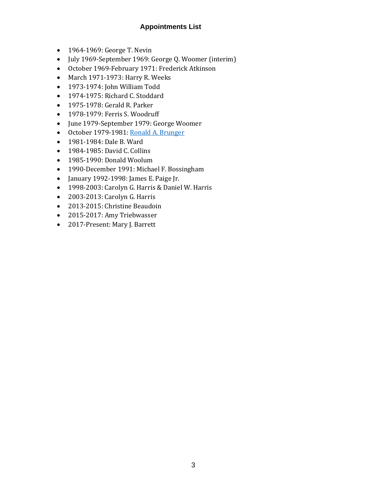# **Appointments List**

- 1964-1969: George T. Nevin
- July 1969-September 1969: George Q. Woomer (interim)
- October 1969-February 1971: Frederick Atkinson
- March 1971-1973: Harry R. Weeks
- 1973-1974: John William Todd
- 1974-1975: Richard C. Stoddard
- 1975-1978: Gerald R. Parker
- 1978-1979: Ferris S. Woodruff
- June 1979-September 1979: George Woomer
- October 1979-1981[: Ronald A. Brunger](http://umcarchives.adrian.edu/fa/brungerrapapers.pdf)
- 1981-1984: Dale B. Ward
- 1984-1985: David C. Collins
- 1985-1990: Donald Woolum
- 1990-December 1991: Michael F. Bossingham
- January 1992-1998: James E. Paige Jr.
- 1998-2003: Carolyn G. Harris & Daniel W. Harris
- 2003-2013: Carolyn G. Harris
- 2013-2015: Christine Beaudoin
- 2015-2017: Amy Triebwasser
- 2017-Present: Mary J. Barrett